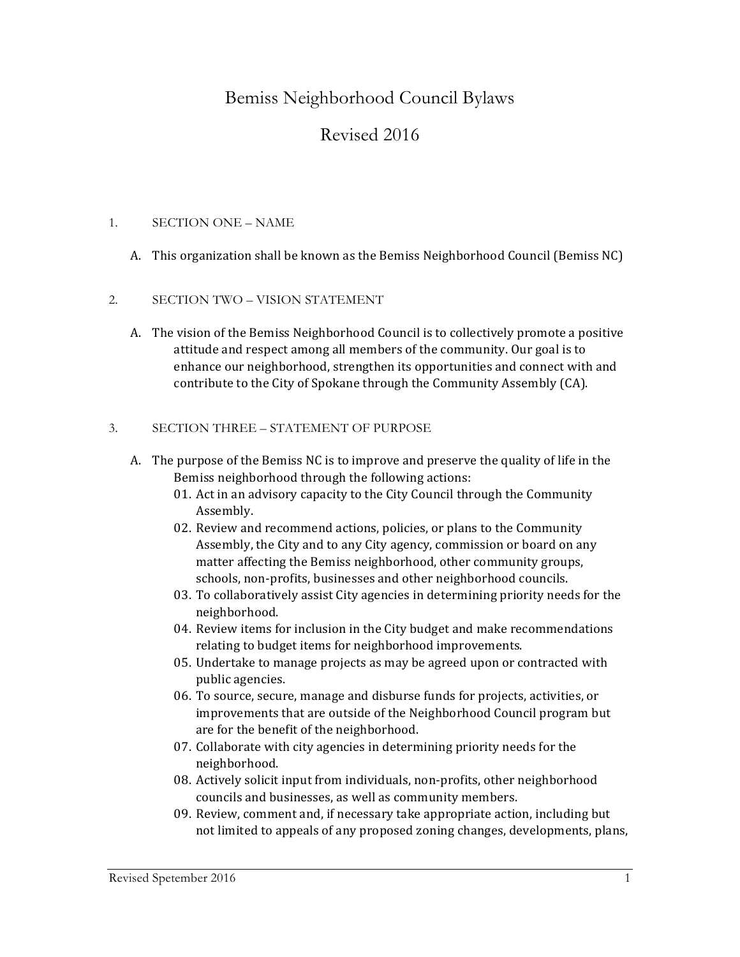# Bemiss Neighborhood Council Bylaws

# Revised 2016

## 1. SECTION ONE – NAME

A. This organization shall be known as the Bemiss Neighborhood Council (Bemiss NC)

## 2. SECTION TWO – VISION STATEMENT

A. The vision of the Bemiss Neighborhood Council is to collectively promote a positive attitude and respect among all members of the community. Our goal is to enhance our neighborhood, strengthen its opportunities and connect with and contribute to the City of Spokane through the Community Assembly (CA).

## 3. SECTION THREE – STATEMENT OF PURPOSE

- A. The purpose of the Bemiss NC is to improve and preserve the quality of life in the Bemiss neighborhood through the following actions:
	- 01. Act in an advisory capacity to the City Council through the Community Assembly.
	- 02. Review and recommend actions, policies, or plans to the Community Assembly, the City and to any City agency, commission or board on any matter affecting the Bemiss neighborhood, other community groups, schools, non-profits, businesses and other neighborhood councils.
	- 03. To collaboratively assist City agencies in determining priority needs for the neighborhood.
	- 04. Review items for inclusion in the City budget and make recommendations relating to budget items for neighborhood improvements.
	- 05. Undertake to manage projects as may be agreed upon or contracted with public agencies.
	- 06. To source, secure, manage and disburse funds for projects, activities, or improvements that are outside of the Neighborhood Council program but are for the benefit of the neighborhood.
	- 07. Collaborate with city agencies in determining priority needs for the neighborhood.
	- 08. Actively solicit input from individuals, non-profits, other neighborhood councils and businesses, as well as community members.
	- 09. Review, comment and, if necessary take appropriate action, including but not limited to appeals of any proposed zoning changes, developments, plans,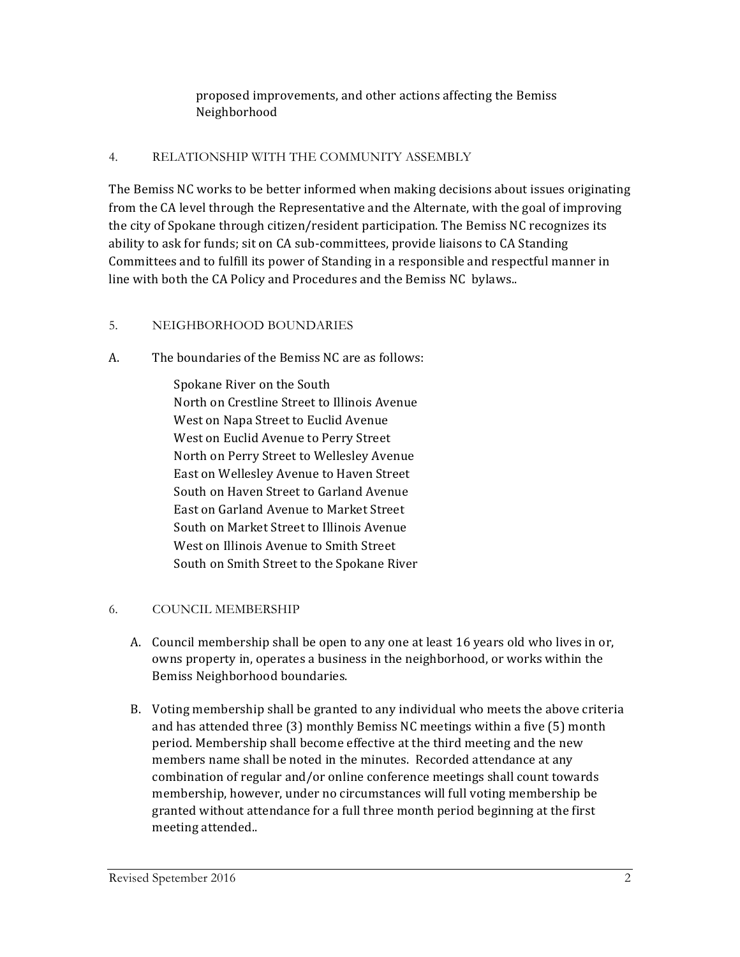proposed improvements, and other actions affecting the Bemiss Neighborhood

#### 4. RELATIONSHIP WITH THE COMMUNITY ASSEMBLY

The Bemiss NC works to be better informed when making decisions about issues originating from the CA level through the Representative and the Alternate, with the goal of improving the city of Spokane through citizen/resident participation. The Bemiss NC recognizes its ability to ask for funds; sit on CA sub-committees, provide liaisons to CA Standing Committees and to fulfill its power of Standing in a responsible and respectful manner in line with both the CA Policy and Procedures and the Bemiss NC bylaws..

#### 5. NEIGHBORHOOD BOUNDARIES

A. The boundaries of the Bemiss NC are as follows:

Spokane River on the South North on Crestline Street to Illinois Avenue West on Napa Street to Euclid Avenue West on Euclid Avenue to Perry Street North on Perry Street to Wellesley Avenue East on Wellesley Avenue to Haven Street South on Haven Street to Garland Avenue East on Garland Avenue to Market Street South on Market Street to Illinois Avenue West on Illinois Avenue to Smith Street South on Smith Street to the Spokane River

## 6. COUNCIL MEMBERSHIP

- A. Council membership shall be open to any one at least 16 years old who lives in or, owns property in, operates a business in the neighborhood, or works within the Bemiss Neighborhood boundaries.
- B. Voting membership shall be granted to any individual who meets the above criteria and has attended three  $(3)$  monthly Bemiss NC meetings within a five  $(5)$  month period. Membership shall become effective at the third meeting and the new members name shall be noted in the minutes. Recorded attendance at any combination of regular and/or online conference meetings shall count towards membership, however, under no circumstances will full voting membership be granted without attendance for a full three month period beginning at the first meeting attended..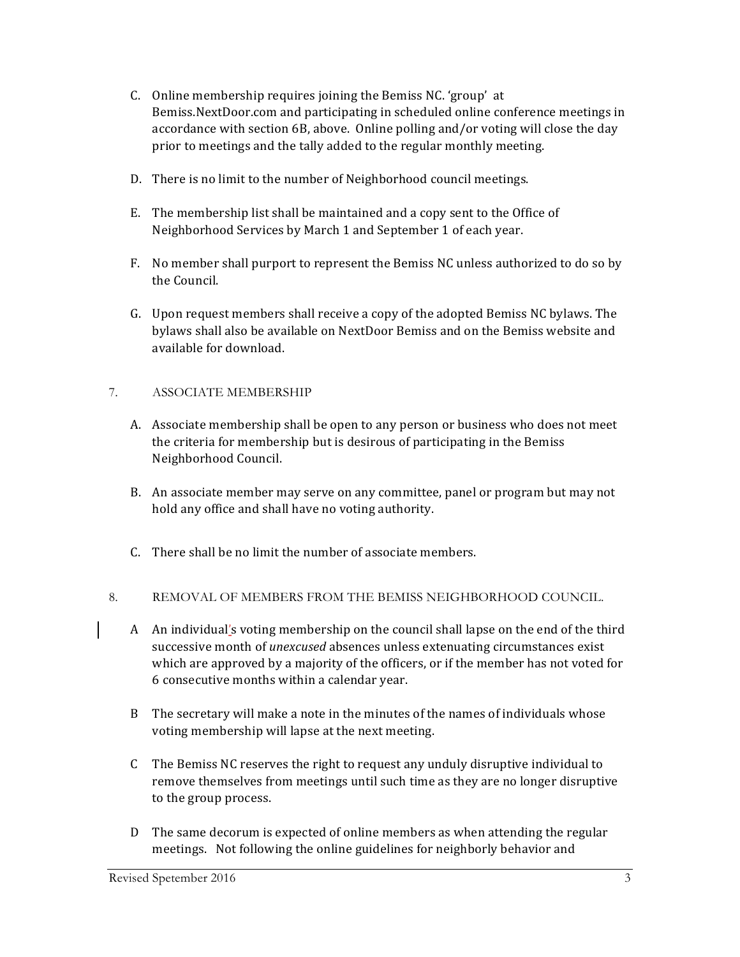- C. Online membership requires joining the Bemiss NC. 'group' at Bemiss.NextDoor.com and participating in scheduled online conference meetings in accordance with section 6B, above. Online polling and/or voting will close the day prior to meetings and the tally added to the regular monthly meeting.
- D. There is no limit to the number of Neighborhood council meetings.
- E. The membership list shall be maintained and a copy sent to the Office of Neighborhood Services by March 1 and September 1 of each year.
- F. No member shall purport to represent the Bemiss NC unless authorized to do so by the Council.
- G. Upon request members shall receive a copy of the adopted Bemiss NC bylaws. The bylaws shall also be available on NextDoor Bemiss and on the Bemiss website and available for download.

## 7. ASSOCIATE MEMBERSHIP

- A. Associate membership shall be open to any person or business who does not meet the criteria for membership but is desirous of participating in the Bemiss Neighborhood Council.
- B. An associate member may serve on any committee, panel or program but may not hold any office and shall have no voting authority.
- C. There shall be no limit the number of associate members.
- 8. REMOVAL OF MEMBERS FROM THE BEMISS NEIGHBORHOOD COUNCIL.
	- A An individual's voting membership on the council shall lapse on the end of the third successive month of *unexcused* absences unless extenuating circumstances exist which are approved by a majority of the officers, or if the member has not voted for 6 consecutive months within a calendar year.
	- B The secretary will make a note in the minutes of the names of individuals whose voting membership will lapse at the next meeting.
	- C The Bemiss NC reserves the right to request any unduly disruptive individual to remove themselves from meetings until such time as they are no longer disruptive to the group process.
	- D The same decorum is expected of online members as when attending the regular meetings. Not following the online guidelines for neighborly behavior and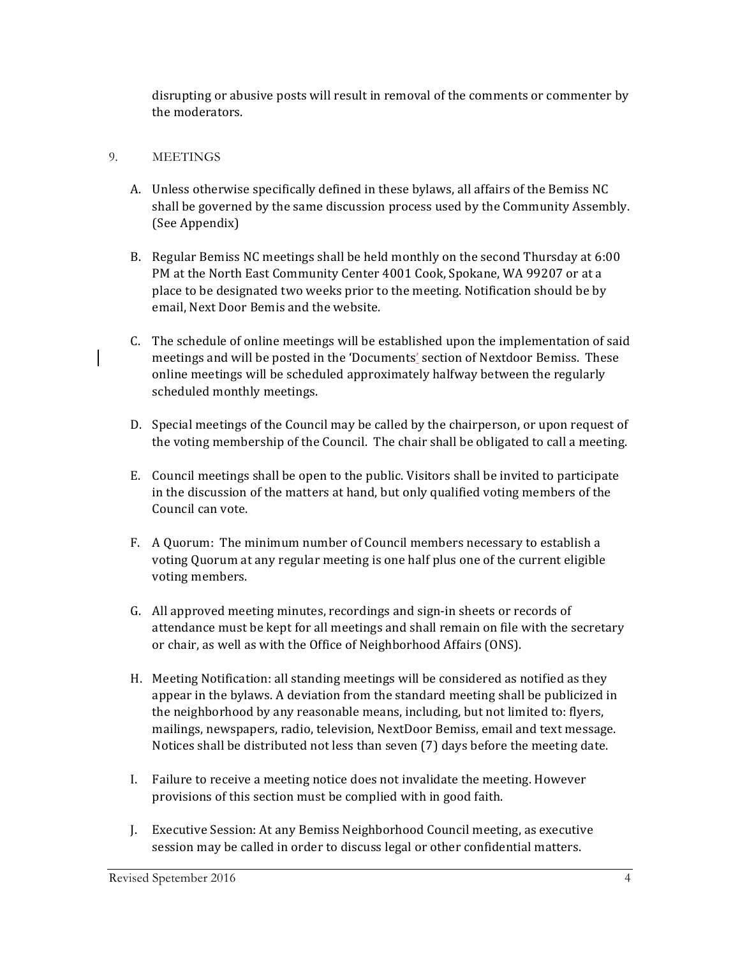disrupting or abusive posts will result in removal of the comments or commenter by the moderators.

#### 9. MEETINGS

- A. Unless otherwise specifically defined in these bylaws, all affairs of the Bemiss NC shall be governed by the same discussion process used by the Community Assembly. (See Appendix)
- B. Regular Bemiss NC meetings shall be held monthly on the second Thursday at 6:00 PM at the North East Community Center 4001 Cook, Spokane, WA 99207 or at a place to be designated two weeks prior to the meeting. Notification should be by email, Next Door Bemis and the website.
- C. The schedule of online meetings will be established upon the implementation of said meetings and will be posted in the 'Documents' section of Nextdoor Bemiss. These online meetings will be scheduled approximately halfway between the regularly scheduled monthly meetings.
- D. Special meetings of the Council may be called by the chairperson, or upon request of the voting membership of the Council. The chair shall be obligated to call a meeting.
- E. Council meetings shall be open to the public. Visitors shall be invited to participate in the discussion of the matters at hand, but only qualified voting members of the Council can vote.
- F. A Quorum: The minimum number of Council members necessary to establish a voting Quorum at any regular meeting is one half plus one of the current eligible voting members.
- G. All approved meeting minutes, recordings and sign-in sheets or records of attendance must be kept for all meetings and shall remain on file with the secretary or chair, as well as with the Office of Neighborhood Affairs (ONS).
- H. Meeting Notification: all standing meetings will be considered as notified as they appear in the bylaws. A deviation from the standard meeting shall be publicized in the neighborhood by any reasonable means, including, but not limited to: flyers, mailings, newspapers, radio, television, NextDoor Bemiss, email and text message. Notices shall be distributed not less than seven  $(7)$  days before the meeting date.
- I. Failure to receive a meeting notice does not invalidate the meeting. However provisions of this section must be complied with in good faith.
- J. Executive Session: At any Bemiss Neighborhood Council meeting, as executive session may be called in order to discuss legal or other confidential matters.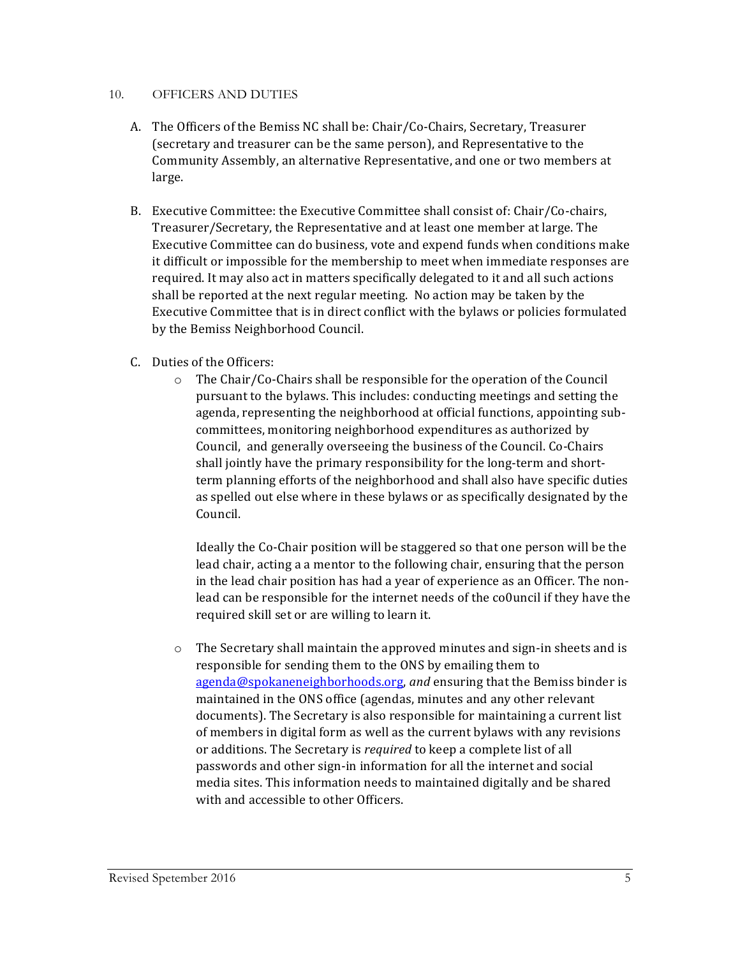#### 10. OFFICERS AND DUTIES

- A. The Officers of the Bemiss NC shall be: Chair/Co-Chairs, Secretary, Treasurer (secretary and treasurer can be the same person), and Representative to the Community Assembly, an alternative Representative, and one or two members at large.
- B. Executive Committee: the Executive Committee shall consist of: Chair/Co-chairs, Treasurer/Secretary, the Representative and at least one member at large. The Executive Committee can do business, vote and expend funds when conditions make it difficult or impossible for the membership to meet when immediate responses are required. It may also act in matters specifically delegated to it and all such actions shall be reported at the next regular meeting. No action may be taken by the Executive Committee that is in direct conflict with the bylaws or policies formulated by the Bemiss Neighborhood Council.
- C. Duties of the Officers:
	- $\circ$  The Chair/Co-Chairs shall be responsible for the operation of the Council pursuant to the bylaws. This includes: conducting meetings and setting the agenda, representing the neighborhood at official functions, appointing subcommittees, monitoring neighborhood expenditures as authorized by Council, and generally overseeing the business of the Council. Co-Chairs shall jointly have the primary responsibility for the long-term and shortterm planning efforts of the neighborhood and shall also have specific duties as spelled out else where in these bylaws or as specifically designated by the Council.

Ideally the Co-Chair position will be staggered so that one person will be the lead chair, acting a a mentor to the following chair, ensuring that the person in the lead chair position has had a year of experience as an Officer. The nonlead can be responsible for the internet needs of the co0uncil if they have the required skill set or are willing to learn it.

 $\circ$  The Secretary shall maintain the approved minutes and sign-in sheets and is responsible for sending them to the ONS by emailing them to agenda@spokaneneighborhoods.org, and ensuring that the Bemiss binder is maintained in the ONS office (agendas, minutes and any other relevant documents). The Secretary is also responsible for maintaining a current list of members in digital form as well as the current bylaws with any revisions or additions. The Secretary is *required* to keep a complete list of all passwords and other sign-in information for all the internet and social media sites. This information needs to maintained digitally and be shared with and accessible to other Officers.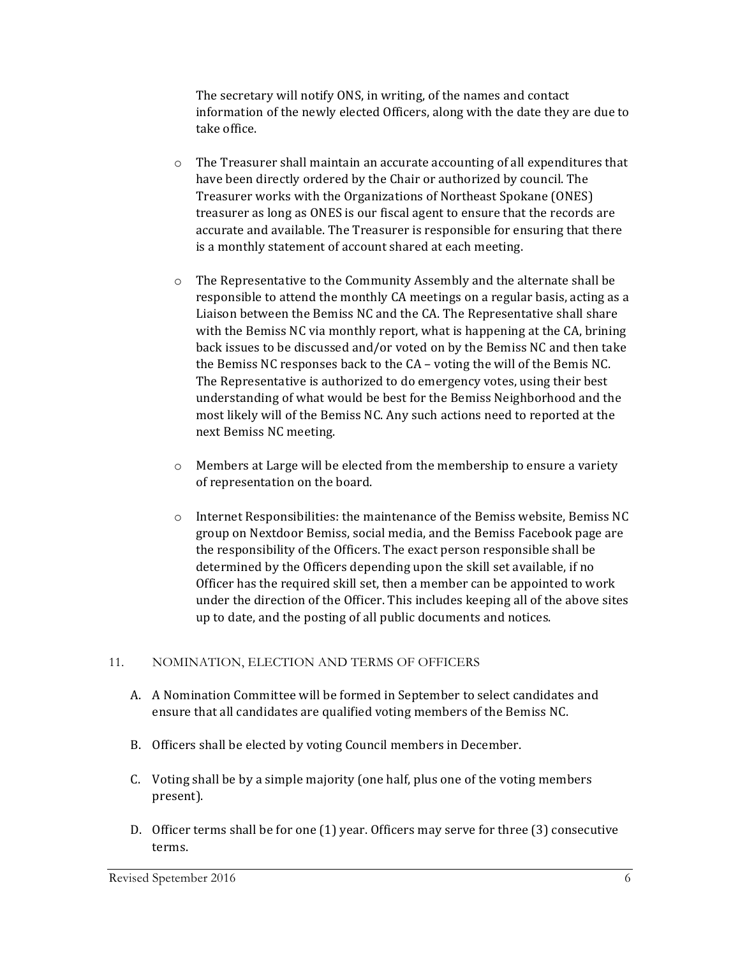The secretary will notify ONS, in writing, of the names and contact information of the newly elected Officers, along with the date they are due to take office.

- $\circ$  The Treasurer shall maintain an accurate accounting of all expenditures that have been directly ordered by the Chair or authorized by council. The Treasurer works with the Organizations of Northeast Spokane (ONES) treasurer as long as ONES is our fiscal agent to ensure that the records are accurate and available. The Treasurer is responsible for ensuring that there is a monthly statement of account shared at each meeting.
- $\circ$  The Representative to the Community Assembly and the alternate shall be responsible to attend the monthly CA meetings on a regular basis, acting as a Liaison between the Bemiss NC and the CA. The Representative shall share with the Bemiss NC via monthly report, what is happening at the CA, brining back issues to be discussed and/or voted on by the Bemiss NC and then take the Bemiss NC responses back to the  $CA$  – voting the will of the Bemis NC. The Representative is authorized to do emergency votes, using their best understanding of what would be best for the Bemiss Neighborhood and the most likely will of the Bemiss NC. Any such actions need to reported at the next Bemiss NC meeting.
- $\circ$  Members at Large will be elected from the membership to ensure a variety of representation on the board.
- $\circ$  Internet Responsibilities: the maintenance of the Bemiss website, Bemiss NC group on Nextdoor Bemiss, social media, and the Bemiss Facebook page are the responsibility of the Officers. The exact person responsible shall be determined by the Officers depending upon the skill set available, if no Officer has the required skill set, then a member can be appointed to work under the direction of the Officer. This includes keeping all of the above sites up to date, and the posting of all public documents and notices.

#### 11. NOMINATION, ELECTION AND TERMS OF OFFICERS

- A. A Nomination Committee will be formed in September to select candidates and ensure that all candidates are qualified voting members of the Bemiss NC.
- B. Officers shall be elected by voting Council members in December.
- C. Voting shall be by a simple majority (one half, plus one of the voting members present).
- D. Officer terms shall be for one (1) year. Officers may serve for three (3) consecutive terms.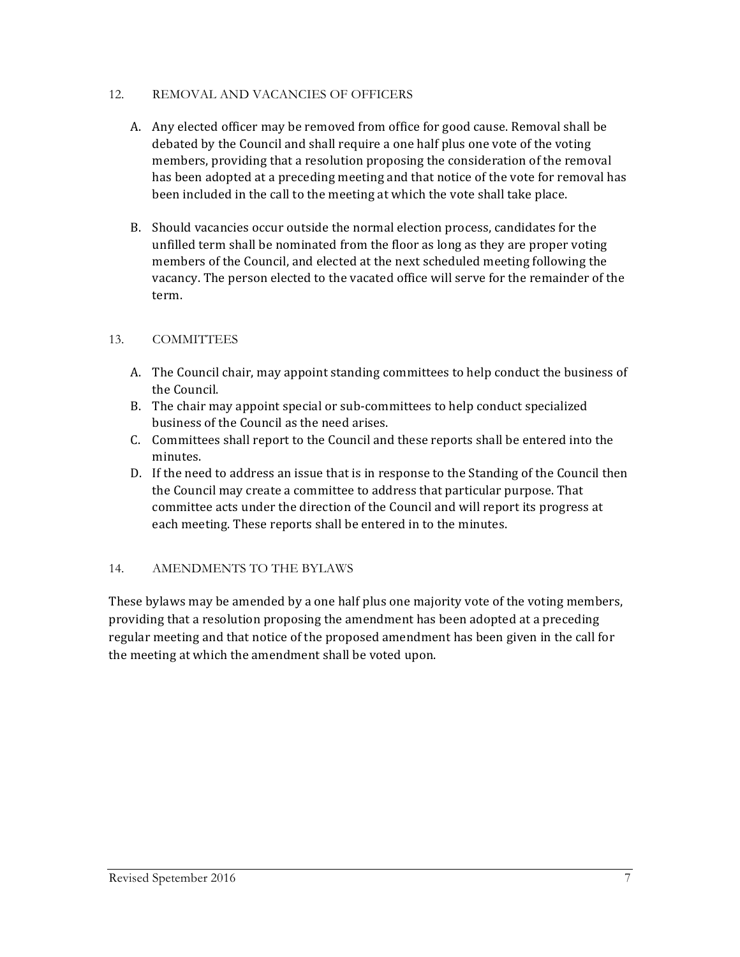#### 12. REMOVAL AND VACANCIES OF OFFICERS

- A. Any elected officer may be removed from office for good cause. Removal shall be debated by the Council and shall require a one half plus one vote of the voting members, providing that a resolution proposing the consideration of the removal has been adopted at a preceding meeting and that notice of the vote for removal has been included in the call to the meeting at which the vote shall take place.
- B. Should vacancies occur outside the normal election process, candidates for the unfilled term shall be nominated from the floor as long as they are proper voting members of the Council, and elected at the next scheduled meeting following the vacancy. The person elected to the vacated office will serve for the remainder of the term.

#### 13. COMMITTEES

- A. The Council chair, may appoint standing committees to help conduct the business of the Council.
- B. The chair may appoint special or sub-committees to help conduct specialized business of the Council as the need arises.
- C. Committees shall report to the Council and these reports shall be entered into the minutes.
- D. If the need to address an issue that is in response to the Standing of the Council then the Council may create a committee to address that particular purpose. That committee acts under the direction of the Council and will report its progress at each meeting. These reports shall be entered in to the minutes.

#### 14. AMENDMENTS TO THE BYLAWS

These by laws may be amended by a one half plus one majority vote of the voting members, providing that a resolution proposing the amendment has been adopted at a preceding regular meeting and that notice of the proposed amendment has been given in the call for the meeting at which the amendment shall be voted upon.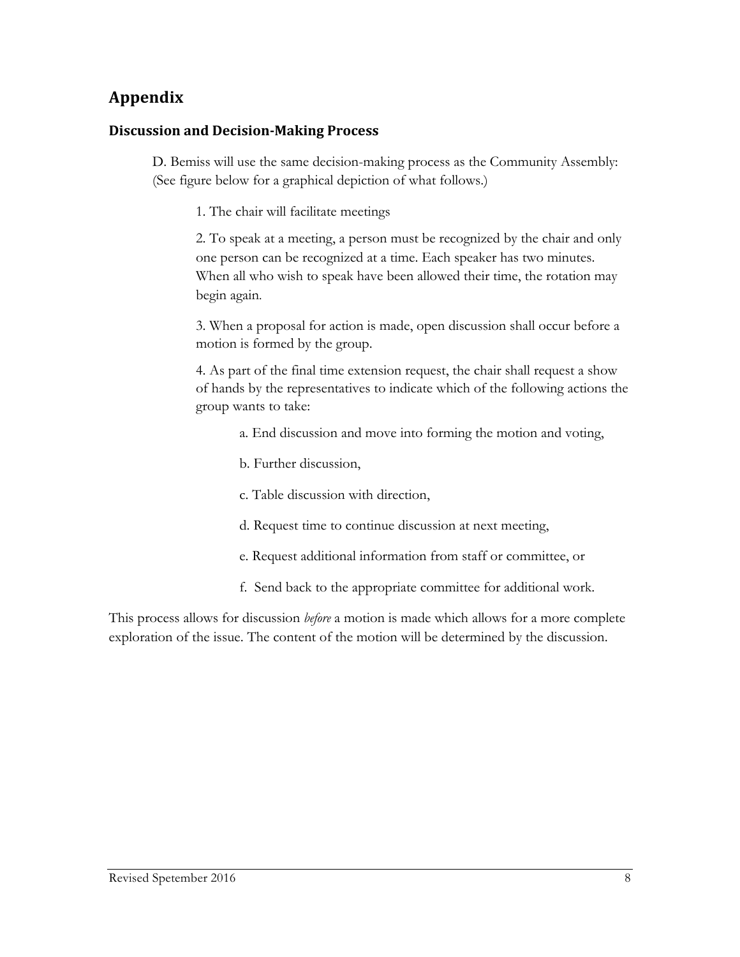# **Appendix**

## **Discussion and Decision-Making Process**

D. Bemiss will use the same decision-making process as the Community Assembly: (See figure below for a graphical depiction of what follows.)

1. The chair will facilitate meetings

2. To speak at a meeting, a person must be recognized by the chair and only one person can be recognized at a time. Each speaker has two minutes. When all who wish to speak have been allowed their time, the rotation may begin again.

3. When a proposal for action is made, open discussion shall occur before a motion is formed by the group.

4. As part of the final time extension request, the chair shall request a show of hands by the representatives to indicate which of the following actions the group wants to take:

- a. End discussion and move into forming the motion and voting,
- b. Further discussion,
- c. Table discussion with direction,
- d. Request time to continue discussion at next meeting,
- e. Request additional information from staff or committee, or
- f. Send back to the appropriate committee for additional work.

This process allows for discussion *before* a motion is made which allows for a more complete exploration of the issue. The content of the motion will be determined by the discussion.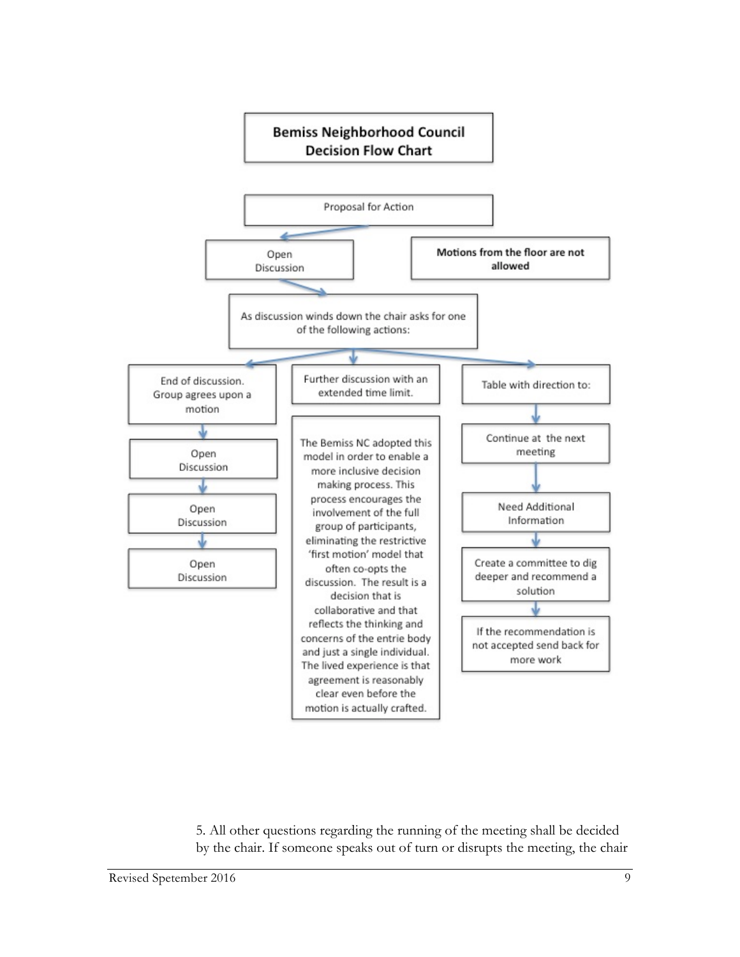

5. All other questions regarding the running of the meeting shall be decided by the chair. If someone speaks out of turn or disrupts the meeting, the chair